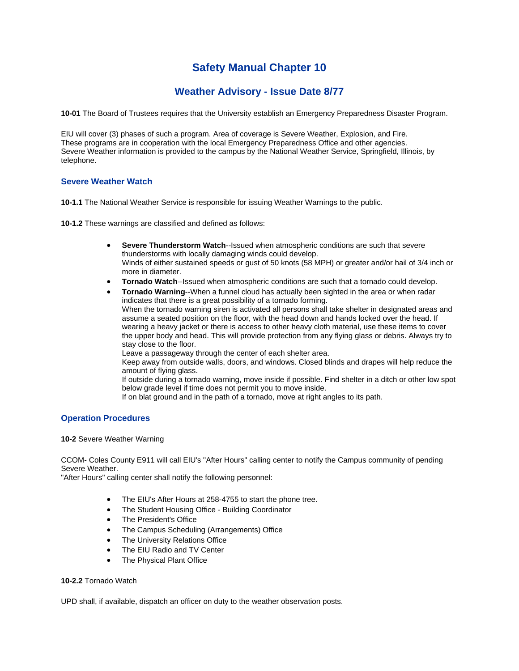# **Safety Manual Chapter 10**

## **Weather Advisory - Issue Date 8/77**

**10-01** The Board of Trustees requires that the University establish an Emergency Preparedness Disaster Program.

EIU will cover (3) phases of such a program. Area of coverage is Severe Weather, Explosion, and Fire. These programs are in cooperation with the local Emergency Preparedness Office and other agencies. Severe Weather information is provided to the campus by the National Weather Service, Springfield, Illinois, by telephone.

## **Severe Weather Watch**

**10-1.1** The National Weather Service is responsible for issuing Weather Warnings to the public.

**10-1.2** These warnings are classified and defined as follows:

- **Severe Thunderstorm Watch**--Issued when atmospheric conditions are such that severe thunderstorms with locally damaging winds could develop. Winds of either sustained speeds or gust of 50 knots (58 MPH) or greater and/or hail of 3/4 inch or more in diameter.
- **Tornado Watch**--Issued when atmospheric conditions are such that a tornado could develop.
- **Tornado Warning**--When a funnel cloud has actually been sighted in the area or when radar indicates that there is a great possibility of a tornado forming. When the tornado warning siren is activated all persons shall take shelter in designated areas and assume a seated position on the floor, with the head down and hands locked over the head. If wearing a heavy jacket or there is access to other heavy cloth material, use these items to cover the upper body and head. This will provide protection from any flying glass or debris. Always try to stay close to the floor.

Leave a passageway through the center of each shelter area.

Keep away from outside walls, doors, and windows. Closed blinds and drapes will help reduce the amount of flying glass.

If outside during a tornado warning, move inside if possible. Find shelter in a ditch or other low spot below grade level if time does not permit you to move inside.

If on blat ground and in the path of a tornado, move at right angles to its path.

## **Operation Procedures**

**10-2** Severe Weather Warning

CCOM- Coles County E911 will call EIU's "After Hours" calling center to notify the Campus community of pending Severe Weather.

"After Hours" calling center shall notify the following personnel:

- The EIU's After Hours at 258-4755 to start the phone tree.
- The Student Housing Office Building Coordinator
- The President's Office
- The Campus Scheduling (Arrangements) Office
- The University Relations Office
- The EIU Radio and TV Center
- The Physical Plant Office

### **10-2.2** Tornado Watch

UPD shall, if available, dispatch an officer on duty to the weather observation posts.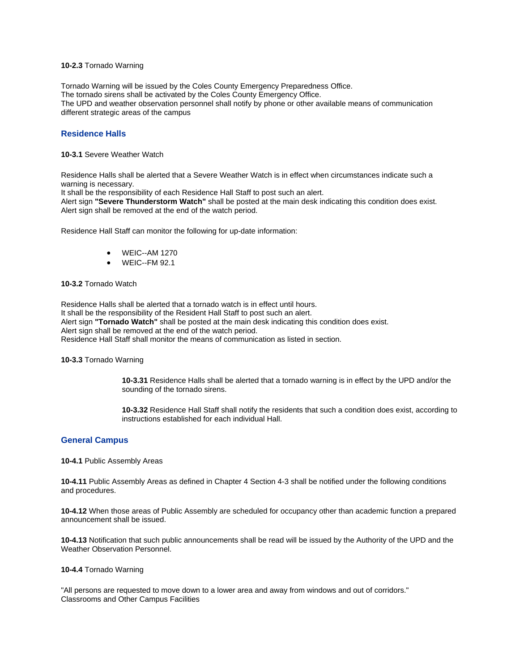#### **10-2.3** Tornado Warning

Tornado Warning will be issued by the Coles County Emergency Preparedness Office. The tornado sirens shall be activated by the Coles County Emergency Office. The UPD and weather observation personnel shall notify by phone or other available means of communication different strategic areas of the campus

## **Residence Halls**

**10-3.1** Severe Weather Watch

Residence Halls shall be alerted that a Severe Weather Watch is in effect when circumstances indicate such a warning is necessary.

It shall be the responsibility of each Residence Hall Staff to post such an alert.

Alert sign **"Severe Thunderstorm Watch"** shall be posted at the main desk indicating this condition does exist. Alert sign shall be removed at the end of the watch period.

Residence Hall Staff can monitor the following for up-date information:

- WEIC--AM 1270
- WEIC--FM 92.1

#### **10-3.2** Tornado Watch

Residence Halls shall be alerted that a tornado watch is in effect until hours. It shall be the responsibility of the Resident Hall Staff to post such an alert. Alert sign **"Tornado Watch"** shall be posted at the main desk indicating this condition does exist. Alert sign shall be removed at the end of the watch period. Residence Hall Staff shall monitor the means of communication as listed in section.

**10-3.3** Tornado Warning

**10-3.31** Residence Halls shall be alerted that a tornado warning is in effect by the UPD and/or the sounding of the tornado sirens.

**10-3.32** Residence Hall Staff shall notify the residents that such a condition does exist, according to instructions established for each individual Hall.

### **General Campus**

**10-4.1** Public Assembly Areas

**10-4.11** Public Assembly Areas as defined in Chapter 4 Section 4-3 shall be notified under the following conditions and procedures.

**10-4.12** When those areas of Public Assembly are scheduled for occupancy other than academic function a prepared announcement shall be issued.

**10-4.13** Notification that such public announcements shall be read will be issued by the Authority of the UPD and the Weather Observation Personnel.

#### **10-4.4** Tornado Warning

"All persons are requested to move down to a lower area and away from windows and out of corridors." Classrooms and Other Campus Facilities